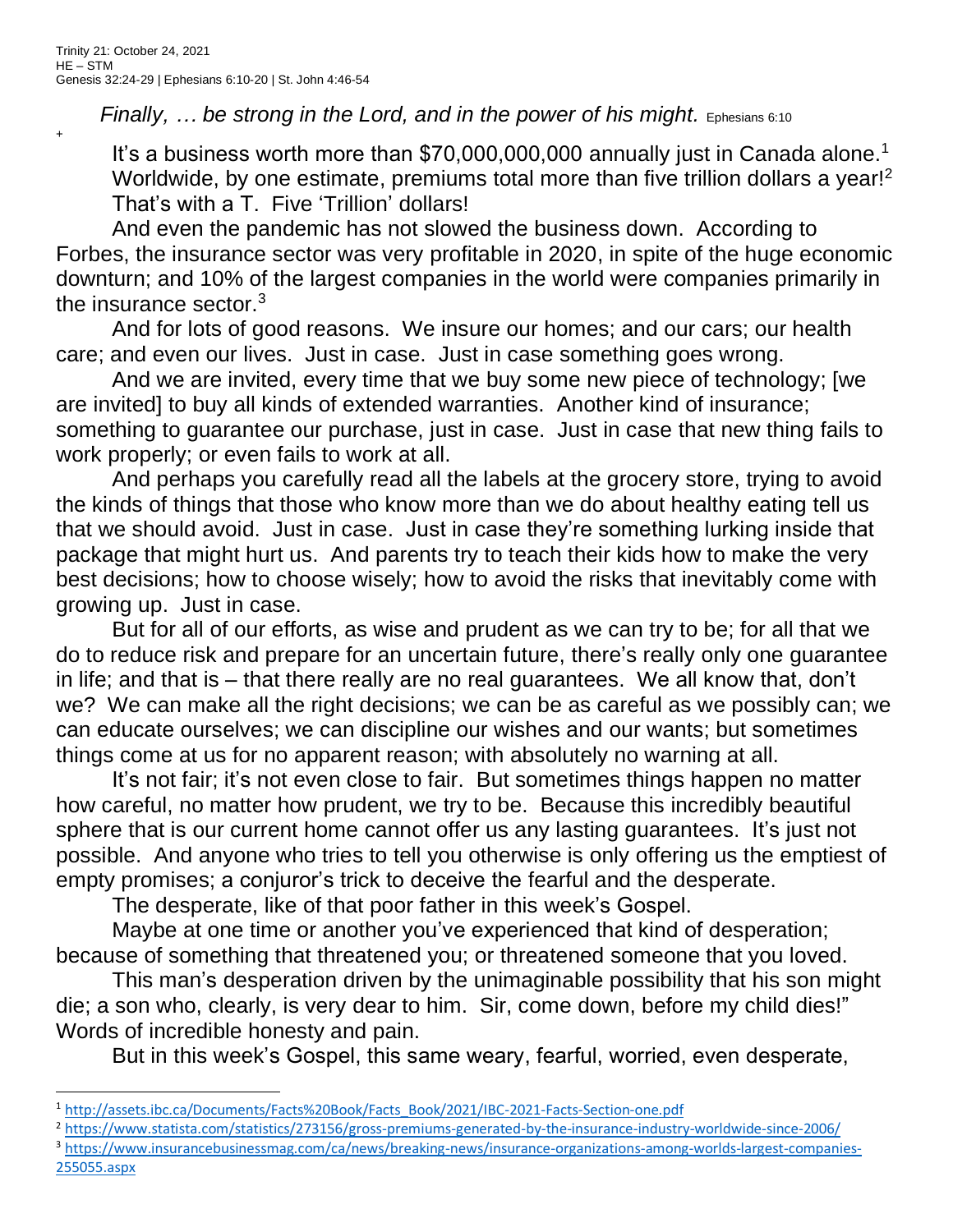$+$ 

*Finally, … be strong in the Lord, and in the power of his might.* Ephesians 6:10

It's a business worth more than  $$70,000,000,000$  annually just in Canada alone.<sup>1</sup> Worldwide, by one estimate, premiums total more than five trillion dollars a year!<sup>2</sup> That's with a T. Five 'Trillion' dollars!

And even the pandemic has not slowed the business down. According to Forbes, the insurance sector was very profitable in 2020, in spite of the huge economic downturn; and 10% of the largest companies in the world were companies primarily in the insurance sector.<sup>3</sup>

And for lots of good reasons. We insure our homes; and our cars; our health care; and even our lives. Just in case. Just in case something goes wrong.

And we are invited, every time that we buy some new piece of technology; [we are invited] to buy all kinds of extended warranties. Another kind of insurance; something to guarantee our purchase, just in case. Just in case that new thing fails to work properly; or even fails to work at all.

And perhaps you carefully read all the labels at the grocery store, trying to avoid the kinds of things that those who know more than we do about healthy eating tell us that we should avoid. Just in case. Just in case they're something lurking inside that package that might hurt us. And parents try to teach their kids how to make the very best decisions; how to choose wisely; how to avoid the risks that inevitably come with growing up. Just in case.

But for all of our efforts, as wise and prudent as we can try to be; for all that we do to reduce risk and prepare for an uncertain future, there's really only one guarantee in life; and that is – that there really are no real guarantees. We all know that, don't we? We can make all the right decisions; we can be as careful as we possibly can; we can educate ourselves; we can discipline our wishes and our wants; but sometimes things come at us for no apparent reason; with absolutely no warning at all.

It's not fair; it's not even close to fair. But sometimes things happen no matter how careful, no matter how prudent, we try to be. Because this incredibly beautiful sphere that is our current home cannot offer us any lasting guarantees. It's just not possible. And anyone who tries to tell you otherwise is only offering us the emptiest of empty promises; a conjuror's trick to deceive the fearful and the desperate.

The desperate, like of that poor father in this week's Gospel.

Maybe at one time or another you've experienced that kind of desperation; because of something that threatened you; or threatened someone that you loved.

This man's desperation driven by the unimaginable possibility that his son might die; a son who, clearly, is very dear to him. Sir, come down, before my child dies!" Words of incredible honesty and pain.

But in this week's Gospel, this same weary, fearful, worried, even desperate,

<sup>2</sup> <https://www.statista.com/statistics/273156/gross-premiums-generated-by-the-insurance-industry-worldwide-since-2006/>

<sup>1</sup> [http://assets.ibc.ca/Documents/Facts%20Book/Facts\\_Book/2021/IBC-2021-Facts-Section-one.pdf](http://assets.ibc.ca/Documents/Facts%20Book/Facts_Book/2021/IBC-2021-Facts-Section-one.pdf)

<sup>&</sup>lt;sup>3</sup> [https://www.insurancebusinessmag.com/ca/news/breaking-news/insurance-organizations-among-worlds-largest-companies-](https://www.insurancebusinessmag.com/ca/news/breaking-news/insurance-organizations-among-worlds-largest-companies-255055.aspx)